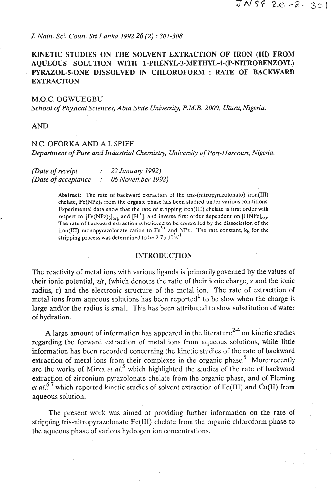## *J. Natn. Sci. Coun. Sri Lanka 1992 20 (2) : 301-308*

# **KINETIC STUDIES ON THE SOLVENT EXTRACTION OF IRON (111) FROM AQUEOUS SOLUTION WITH 1-PHENYL-3-METHYL-4-(P-NITROBENZOYL) PYRAZOL-5-ONE DISSOLVED IN CHLOROFORM : RATE OF BACKWARD EXTRACTION**

#### M.O.C. OGWUEGBU

*School of Physical Sciences, Abia State University, P.M.B. 2000, Uturu, Nigeria.* 

**AND** 

## N.C. OFORKA AND A.I. SPIFF

*Department of Pure and Industrial Chemistry, University of Port-Harcourt, Nigeria.* 

| (Date of receipt    | $\therefore$ 22 January 1992) |
|---------------------|-------------------------------|
| (Date of acceptance | 06 November 1992)             |

**Abstract: The rate of backward extraction of the tris-(nitropyrazolonato) iron(lI1)**  chelate, Fe(NPz)<sub>3</sub> from the organic phase has been studied under various conditions. **Experimental data show that the rate of stripping iron(1ll) chelate is first order with respect to**  $[Fe(NPz)_3]_{\text{ore}}$  **and**  $[H^+]$ **, and inverse first order dependent on**  $[HNPz]_{\text{ore}}$ **. The rate of backward extraction is believed to be controlled by the dissociation of the iron(III)** monopyrazolonate cation to  $Fe<sup>2+</sup>$  and NPz. The rate constant,  $k_b$  for the stripping process was determined to be  $2.7 \times 10^{3}$ s<sup>-1</sup>.

#### **INTRODUCTION**

The reactivity of metal ions with various ligands is primarily governed by the values of their ionic potential,  $z/r$ , (which denotes the ratio of their ionic charge, z and the ionic radius, r) and the electronic structure of the metal ion. The rate of extracttion of **netal ions from aqueous solutions has been reported<sup>1</sup> to be slow when the charge is** large and/or the radius is small. This has been attributed to slow substitution of water of hydration.

A large amount of information has appeared in the literature<sup>24</sup> on kinetic studies regarding the forward extraction of metal ions from aqueous solutions, while little information has been recorded concerning the kinetic studies of the rate of backward extraction of metal ions from their complexes in the organic phase.<sup>5</sup> More recently are the works of Mirza *et al.*<sup>5</sup> which highlighted the studies of the rate of backward extraction of zirconium pyrazolonate chelate from the organic phase, and of Fleming *et al.*<sup>6,7</sup> which reported kinetic studies of solvent extraction of Fe(III) and Cu(II) from aqueous solution.

The present work was aimed at providing further information on the rate of stripping tris-nitropyrazolonate Fe(II1) chelate from the organic chloroform phase to the aqueous phase of various hydrogen ion concentrations.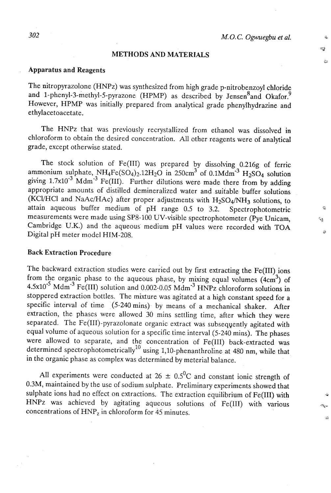-a 5

**3** 

#### **METHODS AND MATERIALS**

### Apparatus and Reagents

The nitropyrazolone (HNPz) was synthesized from high grade p-nitrobenzoyl chloride and 1-phenyl-3-methyl-5-pyrazone (HPMP) as described by Jensen $<sup>8</sup>$ and Okafor.<sup>9</sup></sup> However, HPMP was initially prepared from analytical grade phenylhydrazine and ethylacetoacetate.

The HNPz that was previously recrystallized from ethanol was dissolved in chloroform to obtain the desired concentration. All other reagents were of analytical grade, except otherwise stated.

The stock solution of Fe(II1) was prepared by dissolving 0.216g of ferric ammonium sulphate,  $NH_4Fe(SO_4)_2.12H_2O$  in 250cm<sup>3</sup> of 0.1Mdm<sup>-3</sup>  $H_2SO_4$  solution giving  $1.7x10^{-3}$  Mdm<sup>-3</sup> Fe(III). Further dilutions were made there from by adding appropriate amounts of distilled demineralized water and suitable buffer solutions (KCl/HCl and NaAc/HAc) after proper adjustments with  $H_2SO_4/NH_3$  solutions, to attain aqueous buffer medium of pH range 0.5 to 3.2. Spectrophotometric **<sup>a</sup>** measurements were made using SP8-100 UV-visible spectrophotometer (Pye Unicam, *C3* Cambridge U.K.) and the aqueous medium pH values were recorded with TOA Digital pH meter model HIM-208.

# Back Extraction Procedure

The backward extraction studies were carried out by first extracting the Fe(III) ions from the organic phase to the aqueous phase, by mixing equal volumes  $(4cm<sup>3</sup>)$  of  $4.5x10^{-5}$  Mdm<sup>-3</sup> Fe(III) solution and 0.002-0.05 Mdm<sup>-3</sup> HNPz chloroform solutions in stoppered extraction bottles. The mixture was agitated at a high constant speed for a specific interval of time (5-240 mins) by means of a mechanical shaker. After extraction, the phases were allowed 30 mins settling time, after which they were separated. The Fe(II1)-pyrazolonate organic extract was subseqyently agitated with equal volume of aqueous solution for a specific time interval (5-240 mins). The phases were allowed to separate, and the concentration of Fe(II1) back-extracted was determined spectrophotometrically<sup>10</sup> using 1,10-phenanthroline at 480 nm, while that in the organic phase as complex was determined by meterial balance.

All experiments were conducted at  $26 \pm 0.5^{\circ}$ C and constant ionic strength of 0.3M, maintained by the use of sodium sulphate. Preliminary experiments showed that sulphate ions had no effect on extractions. The extraction equilibrium of Fe(III) with HNPz was achieved by agitating aqueous solutions of Fe(III) with various concentrations of  $HNP<sub>z</sub>$  in chloroform for 45 minutes.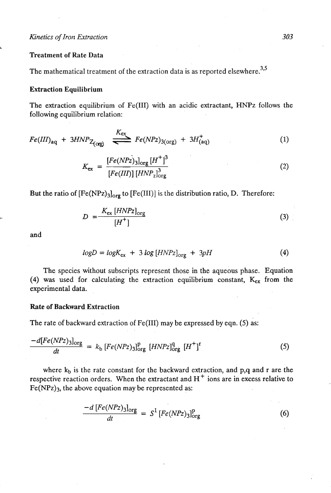#### Treatment of Rate Data

**L** 

The mathematical treatment of the extraction data is as reported elsewhere.<sup>3,5</sup>

#### Extraction Equilibrium

The extraction equilibrium of Fe(II1) with an acidic extractant, **HNPz** follows the following equilibrium relation:

$$
Fe(III)_{aq} + 3HNP_{Z_{(org)}} \stackrel{K_{ex}}{\Longleftarrow} Fe(NPz)_{3(org)} + 3H^+_{(aq)}
$$
 (1)

$$
K_{\text{ex}} = \frac{[Fe(NPz)_{3}]_{\text{org}} [H^{+}]^{3}}{[Fe(III)] [HNP_{2}]_{\text{org}}^{3}}
$$
(2)

But the ratio of  $[Fe(NPz)<sub>3</sub>]<sub>org</sub>$  to  $[Fe(III)]$  is the distribution ratio, D. Therefore:

$$
D = \frac{K_{\text{ex}} \left[ HNPz \right]_{\text{org}}}{\left[ H^+ \right]}
$$
 (3)

and

$$
logD = logK_{ex} + 3 log [HNPz]_{org} + 3pH
$$
 (4)

The species without subscripts represent those in the aqueous phase. Equation (4) was used for calculating the extraction equilibrium constant,  $K_{ex}$  from the experimental data.

## Rate of Backward.Extraction

The rate of backward extraction of Fe(II1) may be expressed by eqn. (5) as:

$$
\frac{-d[Fe(NPz)_{3}]_{\text{org}}}{dt} = k_{\text{b}}[Fe(NPz)_{3}]_{\text{org}}^{\text{p}}[HNPz]_{\text{org}}^{\text{q}}[H^+]^{\text{r}}
$$
(5)

where  $k_b$  is the rate constant for the backward extraction, and p,q and r are the respective reaction orders. When the extractant and H<sup>+</sup> ions are in excess relative to  $Fe(NPz)<sub>3</sub>$ , the above equation may be represented as:

$$
\frac{-d\left[Fe(NPz)_{3}\right]_{\text{org}}}{dt} = S^{1}\left[Fe(NPz)_{3}\right]_{\text{org}}^{p}
$$
(6)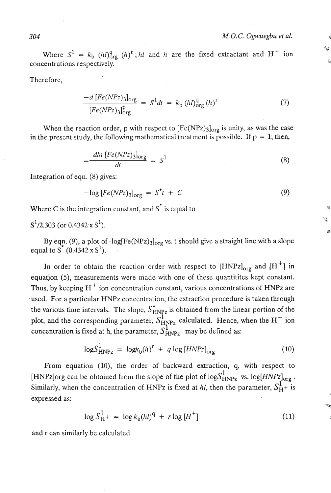**Y** 

 $\rightarrow$ 

Where  $S^1 = k_b$  (h)<sup>q</sup><sub>0rg</sub> (h)<sup>r</sup>; *hl* and *h* are the fixed extractant and H<sup>+</sup> ion concentrations respectively. **<sup>5</sup>**

Therefore,

$$
\frac{-d\left[Fe(NPz)\right]_{\text{org}}}{\left[Fe(NPz)\right]_{\text{org}}^{\text{p}}} = S^1 dt = k_{\text{b}} \left(l_l l\right)_{\text{org}}^{\text{q}} \left(l_l\right)^{\text{r}} \tag{7}
$$

When the reaction order, p with respect to  $[Fe(NPz)_{3}]_{org}$  is unity, as was the case in the prescnt study, the following mathematical treatment is possible. If  $p = 1$ ; then,

$$
=\frac{dln\left[Fe(NPz)_3\right]_{\text{org}}}{dt} = S^1 \tag{8}
$$

Integration of eqn. (8) gives:

$$
-\log [Fe(NPz)_3]_{\text{org}} = S^*t + C \tag{9}
$$

Where C is the integration constant, and  $S^*$  is equal to

 $S^1/2,303$  (or 0.4342 x  $S^1$ ).

By eqn. (9), a plot of -log[Fe(NPz)<sub>3</sub>]<sub>org</sub> vs. t should give a straight line with a slope equal to S  $(0.4342 \times S^1)$ .

In order to obtain the reaction order with respect to  $[HNPz]_{\text{org}}$  and  $[H^+]$  in equation (5), measurements were made with one of these quantitites kept constant. Thus, by keeping  $H^+$  ion concentration constant, various concentrations of HNPz are used. For a particular HNPz concentration, the extraction procedure is taken through the various time intervals. The slope,  $S_{HNPz}^*$  is obtained from the linear portion of the plot, and the corresponding parameter,  $S_{HNPz}^1$  calculated. Hence, when the H<sup>+</sup> ion concentration is fixed at h, the parameter,  $S_{\text{HNPz}}^1$  may be defined as:

$$
\log S_{\text{HNPz}}^1 = \log k_b(h)^r + q \log \left[ HNPz \right]_{\text{org}} \tag{10}
$$

From equation (10), the order of backward extraction, q, with respect to [HNPz]org can be obtained from the slope of the plot of  $log S^1_{HNPz}$  vs.  $log[HNPz]_{org}$ .<br>Similarly, when the concentration of HNPz is fixed at *hl*, then the parameter,  $S^1_{H^+}$  is expressed as:

$$
\log S_{\rm H}^1 + \, = \, \log k_{\rm b} (h l)^{\rm q} \, + \, r \log \left[ H^+ \right] \tag{11}
$$

and r can similarly be calculated.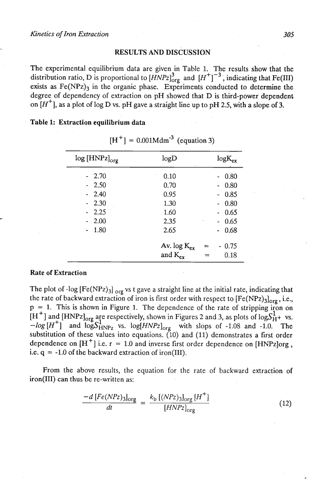#### RESULTS AND DISCUSSION

The experimental equilibrium data are given in Table 1. The results show that the distribution ratio, D is proportional to  $\left[\overline{H}NPz\right]_{\text{org}}^3$  and  $\left[H^+\right]^{-3}$ , indicating that Fe(III) exists as  $Fe(NPz)$ <sub>3</sub> in the organic phase. Experiments conducted to determine the degree of dependency of extraction on pH showed that D is third-power dependent on  $[H^+]$ , as a plot of log D vs. pH gave a straight line up to pH 2.5, with a slope of 3.

Table 1: Extraction equilibrium data

| $log [HNPz]_{org}$ | logD                             |                   |
|--------------------|----------------------------------|-------------------|
| $-2.70$            | 0.10                             | 0.80              |
| $-2.50$            | 0.70                             | 0.80              |
| $-2.40$            | 0.95                             | 0.85              |
| $-2.30$            | 1.30                             | 0.80              |
| 2.25               | 1.60                             | 0.65              |
| 2.00               | 2.35                             | 0.65              |
| 1.80               | 2.65                             | 0.68              |
|                    | Av. $log K_{ex}$<br>and $K_{ex}$ | 0.75<br>≕<br>0.18 |

 $[H^+] = 0.001Mdm^{-3}$  (equation 3)

### Rate of Extraction

The plot of -log  $[Fe(NPz)_3]_{org}$  vs t gave a straight line at the initial rate, indicating that the rate of backward extraction of iron is first order with respect to  $[Fe(NPz)<sub>3</sub>]<sub>ore</sub>$ , i.e.,  $p = 1$ . This is shown in Figure 1. The dependence of the rate of stripping iron on  $[H^+]$  and  $[HNPz]_{org}$  are respectively, shown in Figures 2 and 3, as plots of log  $S^1_{H^+}$  vs.  $-log[H^+]$  and  $logS_{HNPZ}^1$  vs.  $log[HNPZ]_{org}$  with slops of -1.08 and -1.0. The substitution of these values into equations. (10) and (11) demonstrates a first order dependence on  $[H^+]$  i.e.  $r = 1.0$  and inverse first order dependence on [HNPz]org, i.e.  $q = -1.0$  of the backward extraction of iron(III).

From the above results, the equation for the rate of backward extraction of iron(II1) can thus be re-written as:

$$
\frac{-d\left[Fe(NPz)\right]_{\text{Org}}}{dt} = \frac{k_{\text{b}}\left[ (NPz)_{\text{3}} \right]_{\text{Org}} \left[ H^{+} \right]}{\left[ HNPz \right]_{\text{Org}}} \tag{12}
$$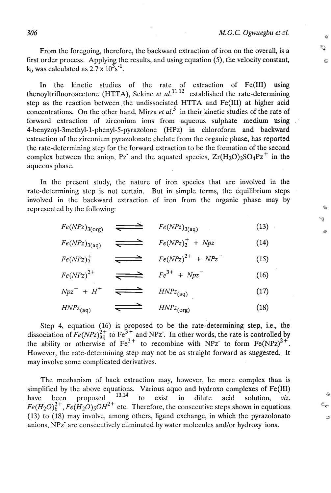٢Ţ. z.

ă

From the foregoing, therefore, the backward extraction of iron on the overall, is a first order process. Applying the results, and using equation (5), the velocity constant,  $k_b$  was calculated as 2.7 x  $10^3 s^{-1}$ .

In the kinetic studies of the rate of extraction of Fe(II1) using thenoyltrifluoroacetone (HTTA), Sekine *et al.*<sup>11,12</sup> established the rate-determining step as the reaction between the undissociated HTTA and Fe(II1) at higher acid concentrations. On the other hand, Mirza *et al.'* in their kinetic studies of the rate of forward extraction of zirconium ions from aqueous sulphate medium using **4-benyzoyl-3methyl-1-phenyl-5-pyrazolone** (HPz) in chloroform and backward extraction of the zirconium pyrazolonate chelate from the organic phase, has reported the rate-determining step for the forward extraction to be the formation of the second complex between the anion, Pz and the aquated species,  $Zr(H_2O)_2SO_4Pz^+$  in the aqueous phase.

In the present study, the nature of iron species that are involved in the rate-determining step is not certain. But in simple terms, the equilibrium steps involved in the backward extraction of iron from the organic phase may by represented by the following:

$$
Fe(NPz)_{3(\text{org})} \quad \longrightarrow \quad Fe(NPz)_{3(\text{aq})} \tag{13}
$$

 $Fe(NPz)_{3(a)} \quad \longrightarrow \quad Fe(NPz)_{2}^{+} + Npz$  (14)

$$
Fe(NPz)^{+}_{2} \qquad \Longleftrightarrow \qquad Fe(NPz)^{2+} + NPz^{-} \qquad (15)
$$

$$
Fe(NPz)^{2+} \qquad \Longleftrightarrow \qquad Fe^{3+} + Npz \qquad (16)
$$

$$
Npz^{-} + H^{+} \quad \Longleftrightarrow \quad HNPz_{(aq)} \tag{17}
$$

$$
HNPz_{(aq)} \qquad \qquad \overbrace{\qquad \qquad} \qquad HNPz_{(org)} \tag{18}
$$

Step 4, equation (16) is proposed to be the rate-determining step, i.e., the dissociation of  $Fe(NPz)_{49}^{2+}$  to Fe<sup>3+</sup> and NPz. In other words, the rate is controlled by the ability or otherwise of  $Fe^{3+}$  to recombine with NPz to form  $Fe(NPz)^{2+}$ . However, the rate-determining step may not be as straight forward as suggested. It may involve some complicated derivatives.

The mechanism of back extraction may, however, be more complex than is simplified by the above equations. Various aquo and hydroxo complexes of  $Fe(III)$ <br>have been proposed  $13,14$  to exist in dilute acid solution viz have been proposed <sup>13,14</sup> to exist in dilute acid solution, *viz.*  $Fe(H_2O)_6^{3+}$ ,  $Fe(H_2O)_5OH^{2+}$  etc. Therefore, the consecutive steps shown in equations *(13)* to *(18)* may involve, among others, ligand exchange, in which the pyrazolonato anions, NPz- are consecutively eliminated by water molecules and/or hydroxy ions.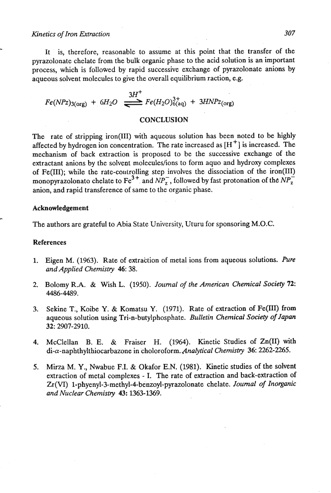# Kinetics of Iron Extraction 307

It is, therefore, reasonable to assume at this point that the transfer of the pyrazolonate chelate from the bulk organic phase to the acid solution is an important process, which is followed by rapid successive exchange of pyrazolonate anions by aqueous solvent molecules to give the overall equilibrium raction, e.g.

 $Fe(NPz)_{3(\text{org})} + 6H_2O \stackrel{3H^+}{\longrightarrow} Fe(H_2O)_{6(\text{aq})}^{3+} + 3HNPz_{(\text{org})}$ 

## **CONCLUSION**

The rate of stripping iron(II1) with aqueous solution has been noted to be highly affected by hydrogen ion concentration. The rate increased as  $[H^+]$  is increased. The mechanism of back extraction is proposed to be the successive exchange of the extractant anions by the solvent molecules/ions to form aquo and hydroxy complexes of Fe(II1); while the rate-coulrolling step involves the dissociation of the iron(II1) monopyrazolonato chelate to  $Fe^{3+}$  and  $NP_z^-$ , followed by fast protonation of the  $NP_z^$ anion, and rapid transference of same to the organic phase.

#### **Acknowledgement**

The authors are grateful to Abia State University, Uturu for sponsoring M.O.C.

#### **References**

- 1. Eigen M. (1963). Rate of extraction of metal ions from aqueous solutions. Pure and Applied Chemistry 46: 38.
- 2. Bolomy R.A. & Wish L. (1950). Journal of the American Chemical Society 72: 4486-4489.
- **3.** Sekine T., Koibe Y. & Komatsu Y. (1971). Rate of extraction of Fe(1II) from aqueous solution using Tri-n-butylphosphate. Bulletin Chemical Society of Japan **32:** 2907-2910.
- 4. McClellan B. E. & Fraiser H. (1964). Kinetic Studies of Zn(I1) with di-a-naphthylthiocarbazone in choloroform.,4nalytical Chemistry 36: **2262-2265.**
- 5. Mirza M. Y., Nwabue F.I. & Okafor **E.N.** (1981). Kinetic studies of the solvent extraction of metal complexes - I. The rate of extraction and back-extraction of Zr **(VI) 1-phyenyl-3-methyl-4-benzoyl-pyrazolonate** chelate. Journal of Inorganic and Nuclear Chemistry **43:** 1363-1369.